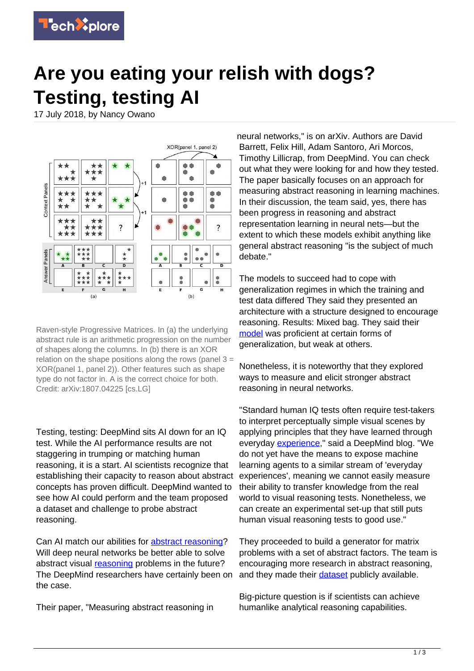

## **Are you eating your relish with dogs? Testing, testing AI**

17 July 2018, by Nancy Owano



Raven-style Progressive Matrices. In (a) the underlying abstract rule is an arithmetic progression on the number of shapes along the columns. In (b) there is an XOR relation on the shape positions along the rows (panel  $3 =$ XOR(panel 1, panel 2)). Other features such as shape type do not factor in. A is the correct choice for both. Credit: arXiv:1807.04225 [cs.LG]

Testing, testing: DeepMind sits AI down for an IQ test. While the AI performance results are not staggering in trumping or matching human reasoning, it is a start. AI scientists recognize that establishing their capacity to reason about abstract concepts has proven difficult. DeepMind wanted to see how AI could perform and the team proposed a dataset and challenge to probe abstract reasoning.

Can AI match our abilities for [abstract reasoning](https://techxplore.com/tags/abstract+reasoning/)? Will deep neural networks be better able to solve abstract visual [reasoning](https://techxplore.com/tags/reasoning/) problems in the future? The DeepMind researchers have certainly been on the case.

Their paper, "Measuring abstract reasoning in

neural networks," is on arXiv. Authors are David Barrett, Felix Hill, Adam Santoro, Ari Morcos, Timothy Lillicrap, from DeepMind. You can check out what they were looking for and how they tested. The paper basically focuses on an approach for measuring abstract reasoning in learning machines. In their discussion, the team said, yes, there has been progress in reasoning and abstract representation learning in neural nets—but the extent to which these models exhibit anything like general abstract reasoning "is the subject of much debate."

The models to succeed had to cope with generalization regimes in which the training and test data differed They said they presented an architecture with a structure designed to encourage reasoning. Results: Mixed bag. They said their [model](https://techxplore.com/tags/model/) was proficient at certain forms of generalization, but weak at others.

Nonetheless, it is noteworthy that they explored ways to measure and elicit stronger abstract reasoning in neural networks.

"Standard human IQ tests often require test-takers to interpret perceptually simple visual scenes by applying principles that they have learned through everyday [experience,](https://deepmind.com/blog/measuring-abstract-reasoning/)" said a DeepMind blog. "We do not yet have the means to expose machine learning agents to a similar stream of 'everyday experiences', meaning we cannot easily measure their ability to transfer knowledge from the real world to visual reasoning tests. Nonetheless, we can create an experimental set-up that still puts human visual reasoning tests to good use."

They proceeded to build a generator for matrix problems with a set of abstract factors. The team is encouraging more research in abstract reasoning, and they made their [dataset](https://github.com/deepmind/abstract-reasoning-matrices) publicly available.

Big-picture question is if scientists can achieve humanlike analytical reasoning capabilities.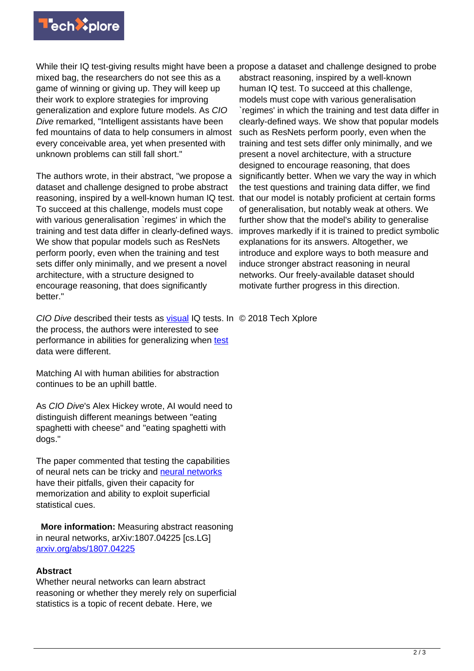

While their IQ test-giving results might have been a propose a dataset and challenge designed to probe

mixed bag, the researchers do not see this as a game of winning or giving up. They will keep up their work to explore strategies for improving generalization and explore future models. As CIO Dive remarked, "Intelligent assistants have been fed mountains of data to help consumers in almost every conceivable area, yet when presented with unknown problems can still fall short."

The authors wrote, in their abstract, "we propose a dataset and challenge designed to probe abstract reasoning, inspired by a well-known human IQ test. To succeed at this challenge, models must cope with various generalisation `regimes' in which the training and test data differ in clearly-defined ways. We show that popular models such as ResNets perform poorly, even when the training and test sets differ only minimally, and we present a novel architecture, with a structure designed to encourage reasoning, that does significantly better."

abstract reasoning, inspired by a well-known human IQ test. To succeed at this challenge, models must cope with various generalisation `regimes' in which the training and test data differ in clearly-defined ways. We show that popular models such as ResNets perform poorly, even when the training and test sets differ only minimally, and we present a novel architecture, with a structure designed to encourage reasoning, that does significantly better. When we vary the way in which the test questions and training data differ, we find that our model is notably proficient at certain forms of generalisation, but notably weak at others. We further show that the model's ability to generalise improves markedly if it is trained to predict symbolic explanations for its answers. Altogether, we introduce and explore ways to both measure and induce stronger abstract reasoning in neural networks. Our freely-available dataset should motivate further progress in this direction.

CIO Dive described their tests as [visual](https://www.ciodive.com/news/can-ai-match-human-abstract-reasoning-capabilities/527656/) IQ tests. In © 2018 Tech Xplore the process, the authors were interested to see performance in abilities for generalizing when [test](https://techxplore.com/tags/test/) data were different.

Matching AI with human abilities for abstraction continues to be an uphill battle.

As CIO Dive's Alex Hickey wrote, AI would need to distinguish different meanings between "eating spaghetti with cheese" and "eating spaghetti with dogs."

The paper commented that testing the capabilities of neural nets can be tricky and [neural networks](https://techxplore.com/tags/neural+networks/) have their pitfalls, given their capacity for memorization and ability to exploit superficial statistical cues.

 **More information:** Measuring abstract reasoning in neural networks, arXiv:1807.04225 [cs.LG] [arxiv.org/abs/1807.04225](https://arxiv.org/abs/1807.04225)

## **Abstract**

Whether neural networks can learn abstract reasoning or whether they merely rely on superficial statistics is a topic of recent debate. Here, we